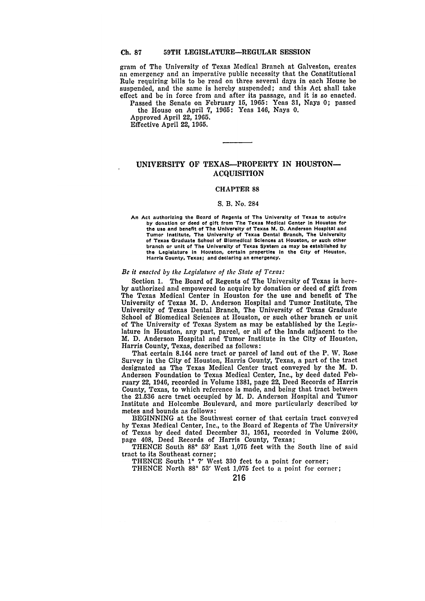#### **59TH LEGISLATURE-REGULAR SESSION Ch. 87**

gram of The University of Texas Medical Branch at Galveston, creates **an** emergency and an imperative public necessity that the Constitutional Rule requiring bills to **be** read on three several days in each House be suspended, and the same is hereby suspended; and this Act shall take effect and be in force from and after its passage, and it is so enacted.

Passed the Senate on February **15, 1965:** Yeas **31,** Nays **0;** passed the House on April **7, 1965:** Yeas 146, Nays **0.**

Approved April 22, **1965.** Effective April 22, **1965.**

# **UNIVERSITY** OF TEXAS-PROPERTY **IN HOUSTON-ACQUISITION**

### CHAPTER **88**

### **S.** B. No. 284

**An Act authorizing the Board of Regents of The University of Texas to acquire by donation or deed of gift from The Texas Medical Center In Houston for the use and benefit of The University of Texas M. D. Anderson Hospital and Tumor Institute, The University of Texas Dental Branch, The University of Texas Graduate School of Biomedical Sciences at Houston, or such other branch or unit of The University of Texas System as may be established by the Legislature In Houston, certain properties In the City of Houston, Harris County, Texas; and declaring an emergency.**

#### *Be it efiacted by the Legislature of the State of Texas:*

Section 1. The Board of Regents of The University of Texas is here**by** authorized and empowered to acquire **by** donation or deed of gift from The Texas Medical Center in Houston for the use and benefit of The University of Texas M. D. Anderson Hospital and Tumor Institute, The University of Texas Dental Branch, The University of Texas Graduate School of Biomedical Sciences at Houston, or such other branch or unit of The University of Texas System as may be established **by** the Legislature in Houston, any part, parcel, or all of the lands adjacent to **the** M. **D.** Anderson Hospital and Tumor Institute in the City of Houston, Harris County, Texas, described as follows:

That certain 8.144 acre tract or parcel of land out of the P. W. Rose Survey in the City of Houston, Harris County, Texas, a part of the tract designated as The Texas Medical Center tract conveyed **by** the M. **D.** Anderson Foundation to Texas Medical Center, Inc., **by** deed dated February 22, 1946, recorded in Volume **1381,** page 22, Deed Records of Harris County, Texas, to which reference is made, and being that tract between the **21.536** acre tract occupied **by** M. **D.** Anderson Hospital and Tumor Institute and Holcombe Boulevard, and more particularly described **by** metes and bounds as follows:

BEGINNING at the Southwest corner of that certain tract conveyed **by** Texas Medical Center, Inc., to the Board of Regents of The University of Texas **by** deed dated December **31, 1951,** recorded in Volume 2400, page 408, Deed Records of Harris County, Texas;

**THENCE** South **880 53'** East **1,075** feet with the South line of said tract to its Southeast corner;

**THENCE** South **10 7'** West **330** feet to a point for corner;

**THENCE** North **<sup>88</sup> ° 53'** West **1,075** feet to a point for corner;

**216**